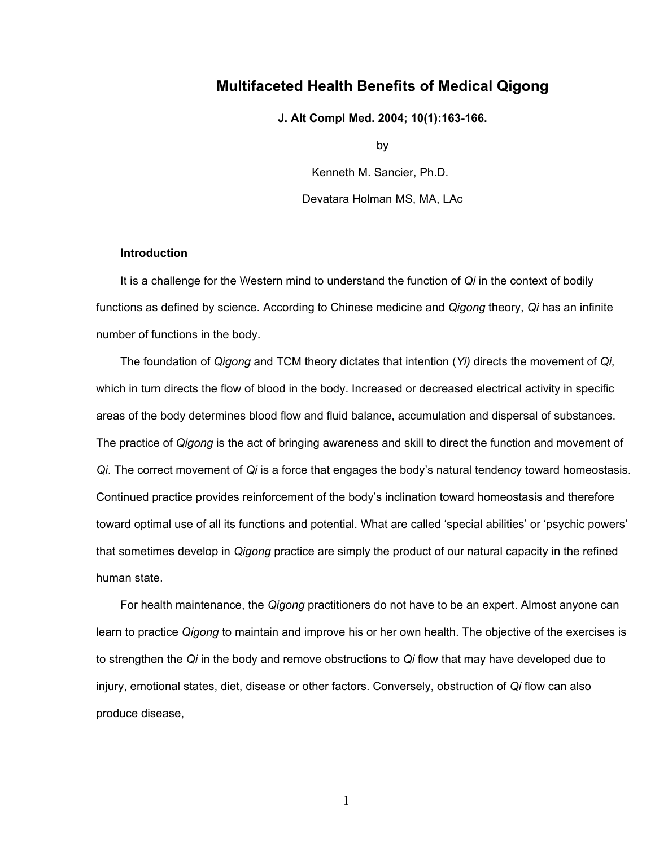# **Multifaceted Health Benefits of Medical Qigong**

**J. Alt Compl Med. 2004; 10(1):163-166.**

by

Kenneth M. Sancier, Ph.D. Devatara Holman MS, MA, LAc

## **Introduction**

It is a challenge for the Western mind to understand the function of *Qi* in the context of bodily functions as defined by science. According to Chinese medicine and *Qigong* theory, *Qi* has an infinite number of functions in the body.

The foundation of *Qigong* and TCM theory dictates that intention (*Yi)* directs the movement of *Qi*, which in turn directs the flow of blood in the body. Increased or decreased electrical activity in specific areas of the body determines blood flow and fluid balance, accumulation and dispersal of substances. The practice of *Qigong* is the act of bringing awareness and skill to direct the function and movement of *Qi*. The correct movement of *Qi* is a force that engages the body's natural tendency toward homeostasis. Continued practice provides reinforcement of the body's inclination toward homeostasis and therefore toward optimal use of all its functions and potential. What are called 'special abilities' or 'psychic powers' that sometimes develop in *Qigong* practice are simply the product of our natural capacity in the refined human state.

For health maintenance, the *Qigong* practitioners do not have to be an expert. Almost anyone can learn to practice *Qigong* to maintain and improve his or her own health. The objective of the exercises is to strengthen the *Qi* in the body and remove obstructions to *Qi* flow that may have developed due to injury, emotional states, diet, disease or other factors. Conversely, obstruction of *Qi* flow can also produce disease,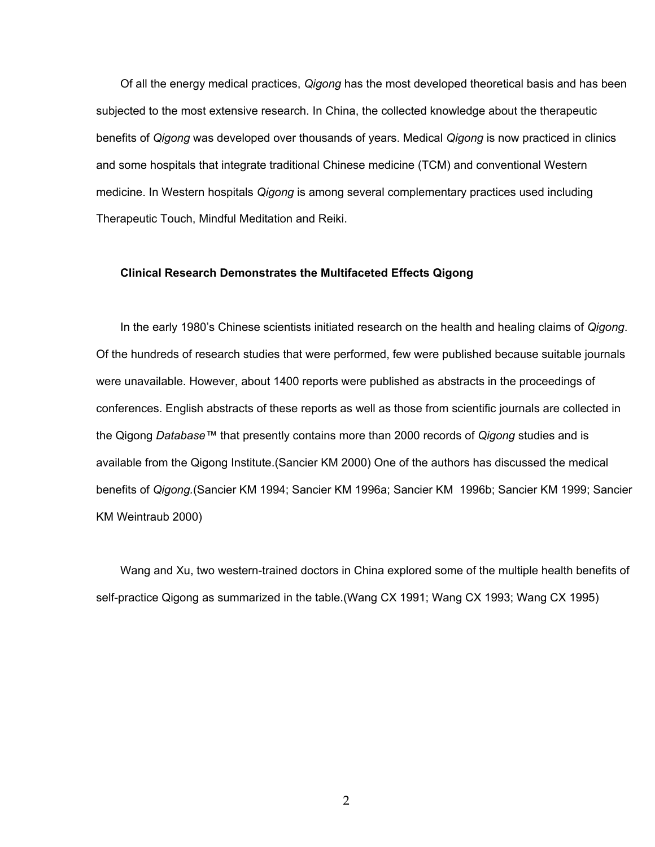Of all the energy medical practices, *Qigong* has the most developed theoretical basis and has been subjected to the most extensive research. In China, the collected knowledge about the therapeutic benefits of *Qigong* was developed over thousands of years. Medical *Qigong* is now practiced in clinics and some hospitals that integrate traditional Chinese medicine (TCM) and conventional Western medicine. In Western hospitals *Qigong* is among several complementary practices used including Therapeutic Touch, Mindful Meditation and Reiki.

#### **Clinical Research Demonstrates the Multifaceted Effects Qigong**

In the early 1980's Chinese scientists initiated research on the health and healing claims of *Qigong*. Of the hundreds of research studies that were performed, few were published because suitable journals were unavailable. However, about 1400 reports were published as abstracts in the proceedings of conferences. English abstracts of these reports as well as those from scientific journals are collected in the Qigong *Database™* that presently contains more than 2000 records of *Qigong* studies and is available from the Qigong Institute.(Sancier KM 2000) One of the authors has discussed the medical benefits of *Qigong.*(Sancier KM 1994; Sancier KM 1996a; Sancier KM 1996b; Sancier KM 1999; Sancier KM Weintraub 2000)

Wang and Xu, two western-trained doctors in China explored some of the multiple health benefits of self-practice Qigong as summarized in the table.(Wang CX 1991; Wang CX 1993; Wang CX 1995)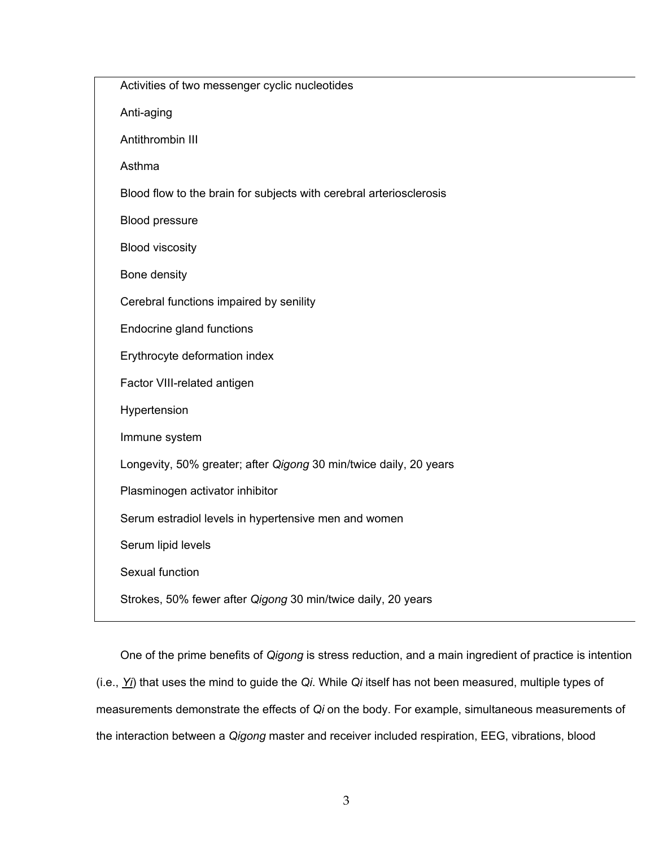| Activities of two messenger cyclic nucleotides                      |
|---------------------------------------------------------------------|
| Anti-aging                                                          |
| Antithrombin III                                                    |
| Asthma                                                              |
| Blood flow to the brain for subjects with cerebral arteriosclerosis |
| Blood pressure                                                      |
| <b>Blood viscosity</b>                                              |
| Bone density                                                        |
| Cerebral functions impaired by senility                             |
| Endocrine gland functions                                           |
| Erythrocyte deformation index                                       |
| Factor VIII-related antigen                                         |
| Hypertension                                                        |
| Immune system                                                       |
| Longevity, 50% greater; after Qigong 30 min/twice daily, 20 years   |
| Plasminogen activator inhibitor                                     |
| Serum estradiol levels in hypertensive men and women                |
| Serum lipid levels                                                  |
| Sexual function                                                     |
| Strokes, 50% fewer after Qigong 30 min/twice daily, 20 years        |

One of the prime benefits of *Qigong* is stress reduction, and a main ingredient of practice is intention (i.e., *Yi*) that uses the mind to guide the *Qi*. While *Qi* itself has not been measured, multiple types of measurements demonstrate the effects of *Qi* on the body. For example, simultaneous measurements of the interaction between a *Qigong* master and receiver included respiration, EEG, vibrations, blood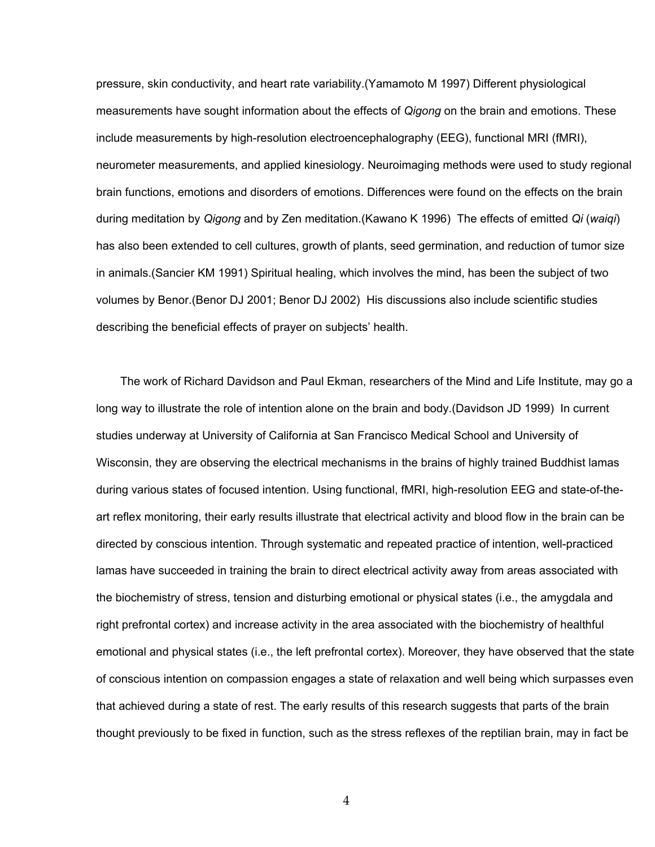pressure, skin conductivity, and heart rate variability.(Yamamoto M 1997) Different physiological measurements have sought information about the effects of *Qigong* on the brain and emotions. These include measurements by high-resolution electroencephalography (EEG), functional MRI (fMRI), neurometer measurements, and applied kinesiology. Neuroimaging methods were used to study regional brain functions, emotions and disorders of emotions. Differences were found on the effects on the brain during meditation by *Qigong* and by Zen meditation.(Kawano K 1996) The effects of emitted *Qi* (*waiqi*) has also been extended to cell cultures, growth of plants, seed germination, and reduction of tumor size in animals.(Sancier KM 1991) Spiritual healing, which involves the mind, has been the subject of two volumes by Benor.(Benor DJ 2001; Benor DJ 2002) His discussions also include scientific studies describing the beneficial effects of prayer on subjects' health.

The work of Richard Davidson and Paul Ekman, researchers of the Mind and Life Institute, may go a long way to illustrate the role of intention alone on the brain and body.(Davidson JD 1999) In current studies underway at University of California at San Francisco Medical School and University of Wisconsin, they are observing the electrical mechanisms in the brains of highly trained Buddhist lamas during various states of focused intention. Using functional, fMRI, high-resolution EEG and state-of-theart reflex monitoring, their early results illustrate that electrical activity and blood flow in the brain can be directed by conscious intention. Through systematic and repeated practice of intention, well-practiced lamas have succeeded in training the brain to direct electrical activity away from areas associated with the biochemistry of stress, tension and disturbing emotional or physical states (i.e., the amygdala and right prefrontal cortex) and increase activity in the area associated with the biochemistry of healthful emotional and physical states (i.e., the left prefrontal cortex). Moreover, they have observed that the state of conscious intention on compassion engages a state of relaxation and well being which surpasses even that achieved during a state of rest. The early results of this research suggests that parts of the brain thought previously to be fixed in function, such as the stress reflexes of the reptilian brain, may in fact be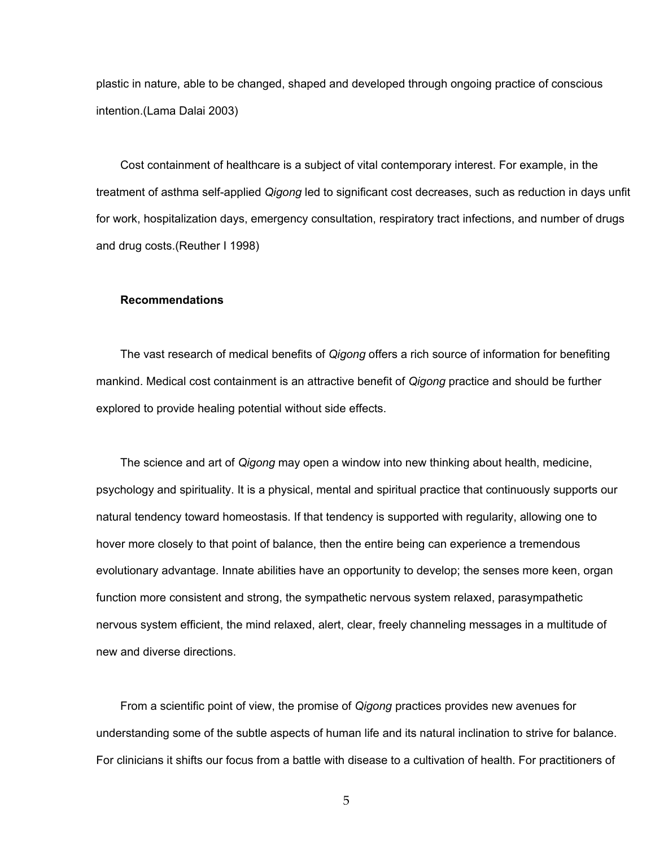plastic in nature, able to be changed, shaped and developed through ongoing practice of conscious intention.(Lama Dalai 2003)

Cost containment of healthcare is a subject of vital contemporary interest. For example, in the treatment of asthma self-applied *Qigong* led to significant cost decreases, such as reduction in days unfit for work, hospitalization days, emergency consultation, respiratory tract infections, and number of drugs and drug costs.(Reuther I 1998)

### **Recommendations**

The vast research of medical benefits of *Qigong* offers a rich source of information for benefiting mankind. Medical cost containment is an attractive benefit of *Qigong* practice and should be further explored to provide healing potential without side effects.

The science and art of *Qigong* may open a window into new thinking about health, medicine, psychology and spirituality. It is a physical, mental and spiritual practice that continuously supports our natural tendency toward homeostasis. If that tendency is supported with regularity, allowing one to hover more closely to that point of balance, then the entire being can experience a tremendous evolutionary advantage. Innate abilities have an opportunity to develop; the senses more keen, organ function more consistent and strong, the sympathetic nervous system relaxed, parasympathetic nervous system efficient, the mind relaxed, alert, clear, freely channeling messages in a multitude of new and diverse directions.

From a scientific point of view, the promise of *Qigong* practices provides new avenues for understanding some of the subtle aspects of human life and its natural inclination to strive for balance. For clinicians it shifts our focus from a battle with disease to a cultivation of health. For practitioners of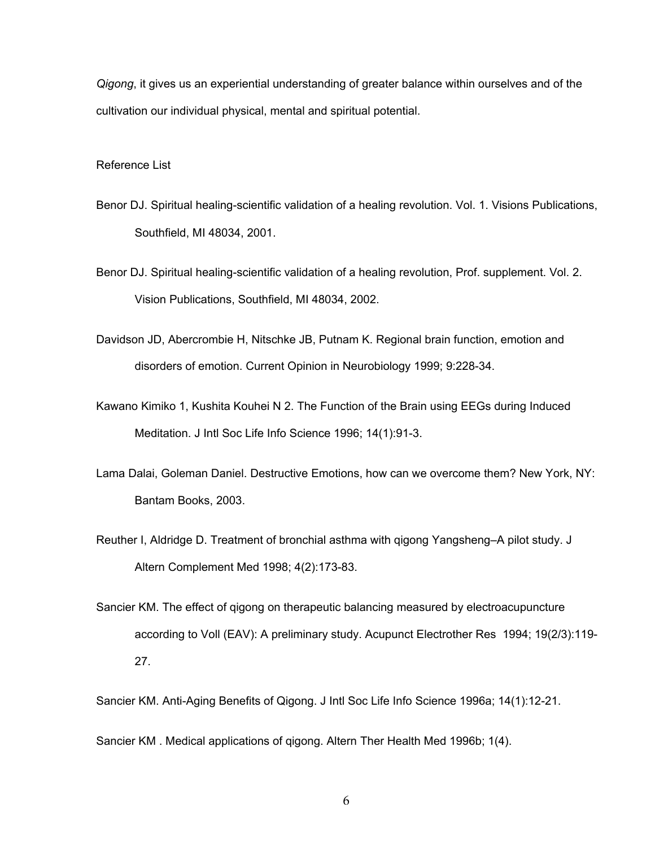*Qigong*, it gives us an experiential understanding of greater balance within ourselves and of the cultivation our individual physical, mental and spiritual potential.

# Reference List

- Benor DJ. Spiritual healing-scientific validation of a healing revolution. Vol. 1. Visions Publications, Southfield, MI 48034, 2001.
- Benor DJ. Spiritual healing-scientific validation of a healing revolution, Prof. supplement. Vol. 2. Vision Publications, Southfield, MI 48034, 2002.
- Davidson JD, Abercrombie H, Nitschke JB, Putnam K. Regional brain function, emotion and disorders of emotion. Current Opinion in Neurobiology 1999; 9:228-34.
- Kawano Kimiko 1, Kushita Kouhei N 2. The Function of the Brain using EEGs during Induced Meditation. J Intl Soc Life Info Science 1996; 14(1):91-3.
- Lama Dalai, Goleman Daniel. Destructive Emotions, how can we overcome them? New York, NY: Bantam Books, 2003.
- Reuther I, Aldridge D. Treatment of bronchial asthma with qigong Yangsheng–A pilot study. J Altern Complement Med 1998; 4(2):173-83.
- Sancier KM. The effect of qigong on therapeutic balancing measured by electroacupuncture according to Voll (EAV): A preliminary study. Acupunct Electrother Res 1994; 19(2/3):119- 27.

Sancier KM. Anti-Aging Benefits of Qigong. J Intl Soc Life Info Science 1996a; 14(1):12-21.

Sancier KM . Medical applications of qigong. Altern Ther Health Med 1996b; 1(4).